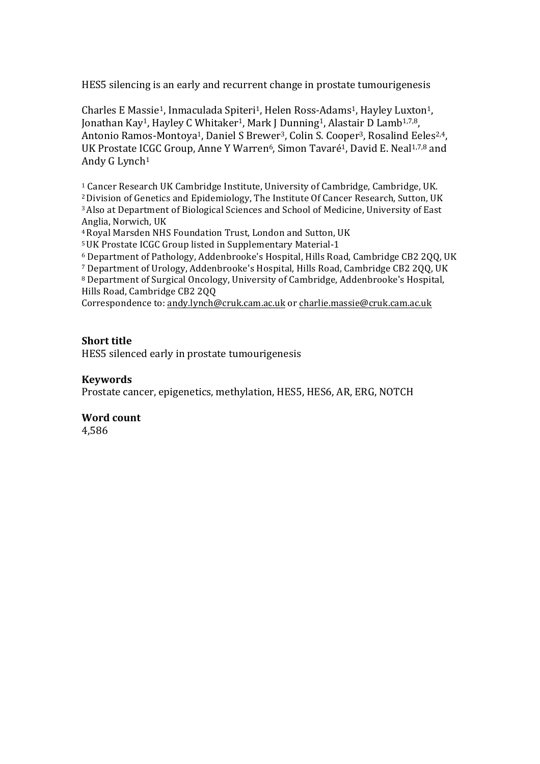HES5 silencing is an early and recurrent change in prostate tumourigenesis

Charles E Massie<sup>1</sup>, Inmaculada Spiteri<sup>1</sup>, Helen Ross-Adams<sup>1</sup>, Hayley Luxton<sup>1</sup>, Jonathan Kay<sup>1</sup>, Hayley C Whitaker<sup>1</sup>, Mark J Dunning<sup>1</sup>, Alastair D Lamb<sup>1,7,8</sup>, Antonio Ramos-Montoya<sup>1</sup>, Daniel S Brewer<sup>3</sup>, Colin S. Cooper<sup>3</sup>, Rosalind Eeles<sup>2,4</sup>, UK Prostate ICGC Group, Anne Y Warren<sup>6</sup>, Simon Tavaré<sup>1</sup>, David E. Neal<sup>1,7,8</sup> and Andy G Lynch<sup>1</sup>

<sup>1</sup> Cancer Research UK Cambridge Institute, University of Cambridge, Cambridge, UK. <sup>2</sup> Division of Genetics and Epidemiology, The Institute Of Cancer Research, Sutton, UK <sup>3</sup> Also at Department of Biological Sciences and School of Medicine, University of East Anglia, Norwich, UK

<sup>4</sup> Royal Marsden NHS Foundation Trust, London and Sutton, UK

<sup>5</sup> UK Prostate ICGC Group listed in Supplementary Material-1

 $6$  Department of Pathology, Addenbrooke's Hospital, Hills Road, Cambridge CB2 200, UK

<sup>7</sup> Department of Urology, Addenbrooke's Hospital, Hills Road, Cambridge CB2 200, UK

<sup>8</sup> Department of Surgical Oncology, University of Cambridge, Addenbrooke's Hospital, Hills Road, Cambridge CB2 2QQ

Correspondence to: andy.lynch@cruk.cam.ac.uk or charlie.massie@cruk.cam.ac.uk

### **Short** title

HES5 silenced early in prostate tumourigenesis

### **Keywords**

Prostate cancer, epigenetics, methylation, HES5, HES6, AR, ERG, NOTCH

## **Word count**

4,586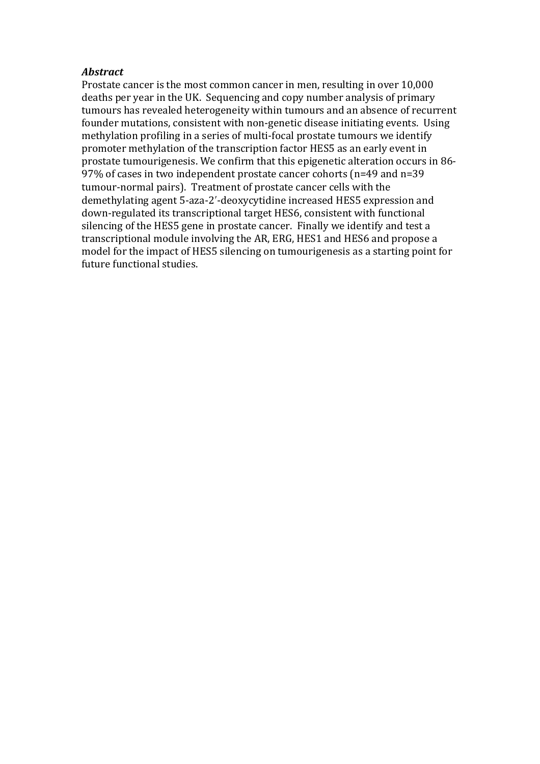### *Abstract*

Prostate cancer is the most common cancer in men, resulting in over 10,000 deaths per year in the UK. Sequencing and copy number analysis of primary tumours has revealed heterogeneity within tumours and an absence of recurrent founder mutations, consistent with non-genetic disease initiating events. Using methylation profiling in a series of multi-focal prostate tumours we identify promoter methylation of the transcription factor HES5 as an early event in prostate tumourigenesis. We confirm that this epigenetic alteration occurs in 86-97% of cases in two independent prostate cancer cohorts (n=49 and n=39 tumour-normal pairs). Treatment of prostate cancer cells with the demethylating agent 5-aza-2'-deoxycytidine increased HES5 expression and down-regulated its transcriptional target HES6, consistent with functional silencing of the HES5 gene in prostate cancer. Finally we identify and test a transcriptional module involving the AR, ERG, HES1 and HES6 and propose a model for the impact of HES5 silencing on tumourigenesis as a starting point for future functional studies.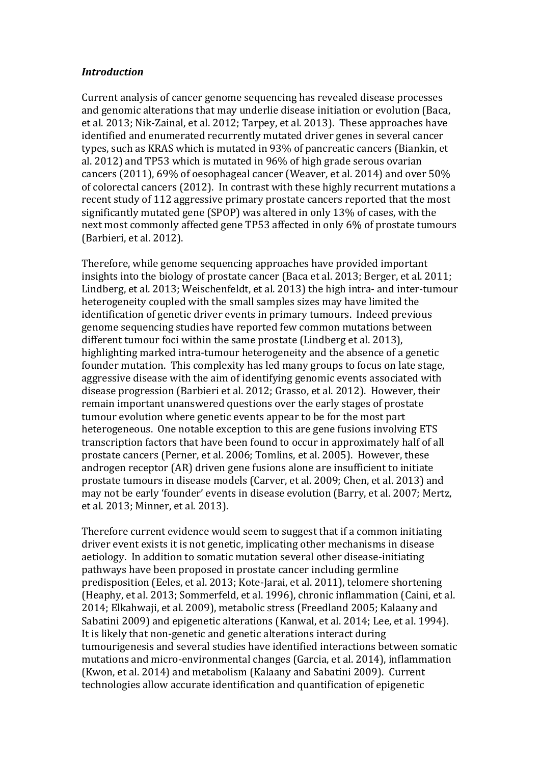### *Introduction*

Current analysis of cancer genome sequencing has revealed disease processes and genomic alterations that may underlie disease initiation or evolution (Baca, et al. 2013; Nik-Zainal, et al. 2012; Tarpey, et al. 2013). These approaches have identified and enumerated recurrently mutated driver genes in several cancer types, such as KRAS which is mutated in 93% of pancreatic cancers (Biankin, et al. 2012) and TP53 which is mutated in 96% of high grade serous ovarian cancers  $(2011)$ ,  $69\%$  of oesophageal cancer (Weaver, et al. 2014) and over  $50\%$ of colorectal cancers (2012). In contrast with these highly recurrent mutations a recent study of 112 aggressive primary prostate cancers reported that the most significantly mutated gene (SPOP) was altered in only 13% of cases, with the next most commonly affected gene TP53 affected in only 6% of prostate tumours (Barbieri, et al. 2012).

Therefore, while genome sequencing approaches have provided important insights into the biology of prostate cancer (Baca et al. 2013; Berger, et al. 2011; Lindberg, et al. 2013; Weischenfeldt, et al. 2013) the high intra- and inter-tumour heterogeneity coupled with the small samples sizes may have limited the identification of genetic driver events in primary tumours. Indeed previous genome sequencing studies have reported few common mutations between different tumour foci within the same prostate (Lindberg et al. 2013). highlighting marked intra-tumour heterogeneity and the absence of a genetic founder mutation. This complexity has led many groups to focus on late stage, aggressive disease with the aim of identifying genomic events associated with disease progression (Barbieri et al. 2012; Grasso, et al. 2012). However, their remain important unanswered questions over the early stages of prostate tumour evolution where genetic events appear to be for the most part heterogeneous. One notable exception to this are gene fusions involving ETS transcription factors that have been found to occur in approximately half of all prostate cancers (Perner, et al. 2006; Tomlins, et al. 2005). However, these androgen receptor (AR) driven gene fusions alone are insufficient to initiate prostate tumours in disease models (Carver, et al. 2009; Chen, et al. 2013) and may not be early 'founder' events in disease evolution (Barry, et al. 2007; Mertz, et al. 2013; Minner, et al. 2013).

Therefore current evidence would seem to suggest that if a common initiating driver event exists it is not genetic, implicating other mechanisms in disease aetiology. In addition to somatic mutation several other disease-initiating pathways have been proposed in prostate cancer including germline predisposition (Eeles, et al. 2013; Kote-Jarai, et al. 2011), telomere shortening (Heaphy, et al. 2013; Sommerfeld, et al. 1996), chronic inflammation (Caini, et al. 2014; Elkahwaji, et al. 2009), metabolic stress (Freedland 2005; Kalaany and Sabatini 2009) and epigenetic alterations (Kanwal, et al. 2014; Lee, et al. 1994). It is likely that non-genetic and genetic alterations interact during tumourigenesis and several studies have identified interactions between somatic mutations and micro-environmental changes (Garcia, et al. 2014), inflammation (Kwon, et al. 2014) and metabolism (Kalaany and Sabatini 2009). Current technologies allow accurate identification and quantification of epigenetic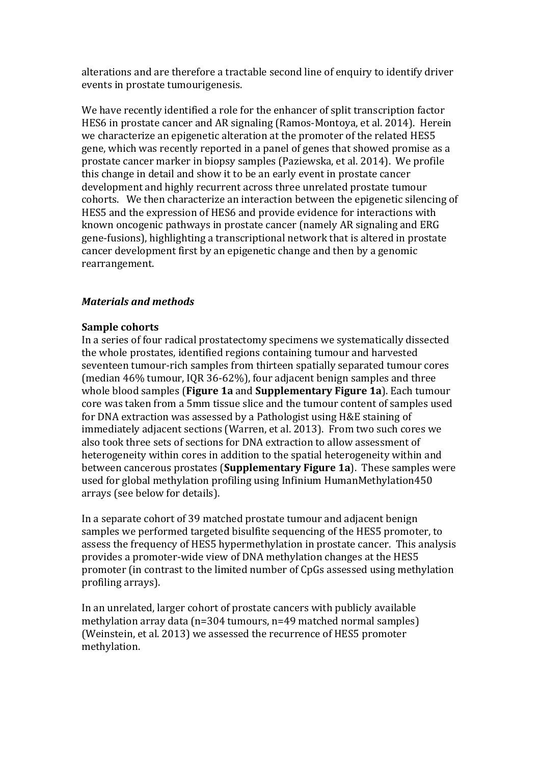alterations and are therefore a tractable second line of enquiry to identify driver events in prostate tumourigenesis.

We have recently identified a role for the enhancer of split transcription factor HES6 in prostate cancer and AR signaling (Ramos-Montoya, et al. 2014). Herein we characterize an epigenetic alteration at the promoter of the related HES5 gene, which was recently reported in a panel of genes that showed promise as a prostate cancer marker in biopsy samples (Paziewska, et al. 2014). We profile this change in detail and show it to be an early event in prostate cancer development and highly recurrent across three unrelated prostate tumour cohorts. We then characterize an interaction between the epigenetic silencing of HES5 and the expression of HES6 and provide evidence for interactions with known oncogenic pathways in prostate cancer (namely AR signaling and ERG gene-fusions), highlighting a transcriptional network that is altered in prostate cancer development first by an epigenetic change and then by a genomic rearrangement. 

# *Materials and methods*

## **Sample cohorts**

In a series of four radical prostatectomy specimens we systematically dissected the whole prostates, identified regions containing tumour and harvested seventeen tumour-rich samples from thirteen spatially separated tumour cores (median  $46\%$  tumour, IQR 36-62%), four adjacent benign samples and three whole blood samples (**Figure 1a** and **Supplementary Figure 1a**). Each tumour core was taken from a 5mm tissue slice and the tumour content of samples used for DNA extraction was assessed by a Pathologist using H&E staining of immediately adjacent sections (Warren, et al. 2013). From two such cores we also took three sets of sections for DNA extraction to allow assessment of heterogeneity within cores in addition to the spatial heterogeneity within and between cancerous prostates (**Supplementary Figure 1a**). These samples were used for global methylation profiling using Infinium HumanMethylation450 arrays (see below for details).

In a separate cohort of 39 matched prostate tumour and adjacent benign samples we performed targeted bisulfite sequencing of the HES5 promoter, to assess the frequency of HES5 hypermethylation in prostate cancer. This analysis provides a promoter-wide view of DNA methylation changes at the HES5 promoter (in contrast to the limited number of CpGs assessed using methylation profiling arrays).

In an unrelated, larger cohort of prostate cancers with publicly available methylation array data  $(n=304 \text{ tumours}, n=49 \text{ matched normal samples})$ (Weinstein, et al. 2013) we assessed the recurrence of HES5 promoter methylation.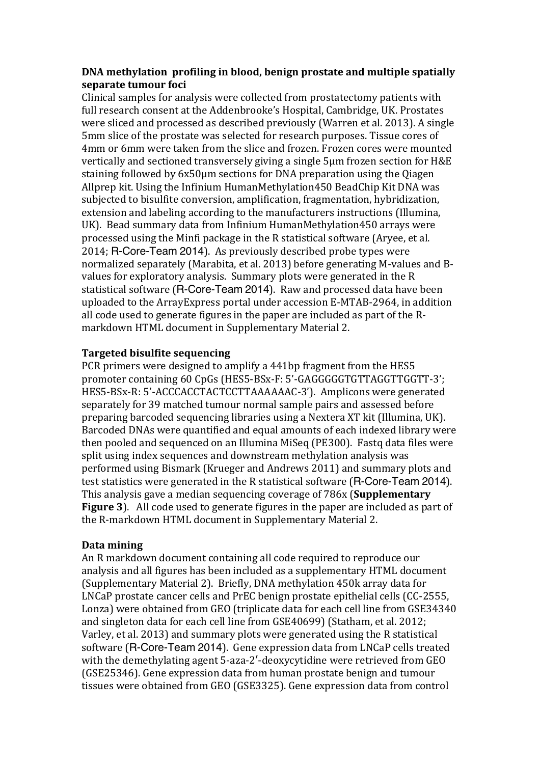# **DNA** methylation profiling in blood, benign prostate and multiple spatially separate tumour foci

Clinical samples for analysis were collected from prostatectomy patients with full research consent at the Addenbrooke's Hospital, Cambridge, UK. Prostates were sliced and processed as described previously (Warren et al. 2013). A single 5mm slice of the prostate was selected for research purposes. Tissue cores of 4mm or 6mm were taken from the slice and frozen. Frozen cores were mounted vertically and sectioned transversely giving a single 5µm frozen section for H&E staining followed by  $6x50\mu m$  sections for DNA preparation using the Qiagen Allprep kit. Using the Infinium HumanMethylation450 BeadChip Kit DNA was subjected to bisulfite conversion, amplification, fragmentation, hybridization, extension and labeling according to the manufacturers instructions (Illumina, UK). Bead summary data from Infinium HumanMethylation450 arrays were processed using the Minfi package in the R statistical software (Aryee, et al. 2014; R-Core-Team 2014). As previously described probe types were normalized separately (Marabita, et al. 2013) before generating M-values and Bvalues for exploratory analysis. Summary plots were generated in the R statistical software (R-Core-Team 2014). Raw and processed data have been uploaded to the ArrayExpress portal under accession E-MTAB-2964, in addition all code used to generate figures in the paper are included as part of the Rmarkdown HTML document in Supplementary Material 2.

# **Targeted bisulfite sequencing**

PCR primers were designed to amplify a 441bp fragment from the HES5 promoter containing 60 CpGs (HES5-BSx-F: 5'-GAGGGGGTGTTAGGTTGGTT-3'; HES5-BSx-R: 5'-ACCCACCTACTCCTTAAAAAAC-3'). Amplicons were generated separately for 39 matched tumour normal sample pairs and assessed before preparing barcoded sequencing libraries using a Nextera XT kit (Illumina, UK). Barcoded DNAs were quantified and equal amounts of each indexed library were then pooled and sequenced on an Illumina MiSeq (PE300). Fastq data files were split using index sequences and downstream methylation analysis was performed using Bismark (Krueger and Andrews 2011) and summary plots and test statistics were generated in the R statistical software (R-Core-Team 2014). This analysis gave a median sequencing coverage of 786x (**Supplementary Figure 3**). All code used to generate figures in the paper are included as part of the R-markdown HTML document in Supplementary Material 2.

## **Data mining**

An R markdown document containing all code required to reproduce our analysis and all figures has been included as a supplementary HTML document (Supplementary Material 2). Briefly, DNA methylation 450k array data for LNCaP prostate cancer cells and PrEC benign prostate epithelial cells (CC-2555, Lonza) were obtained from GEO (triplicate data for each cell line from GSE34340 and singleton data for each cell line from GSE40699) (Statham, et al. 2012; Varley, et al. 2013) and summary plots were generated using the R statistical software (R-Core-Team 2014). Gene expression data from LNCaP cells treated with the demethylating agent 5-aza-2'-deoxycytidine were retrieved from GEO (GSE25346). Gene expression data from human prostate benign and tumour tissues were obtained from GEO (GSE3325). Gene expression data from control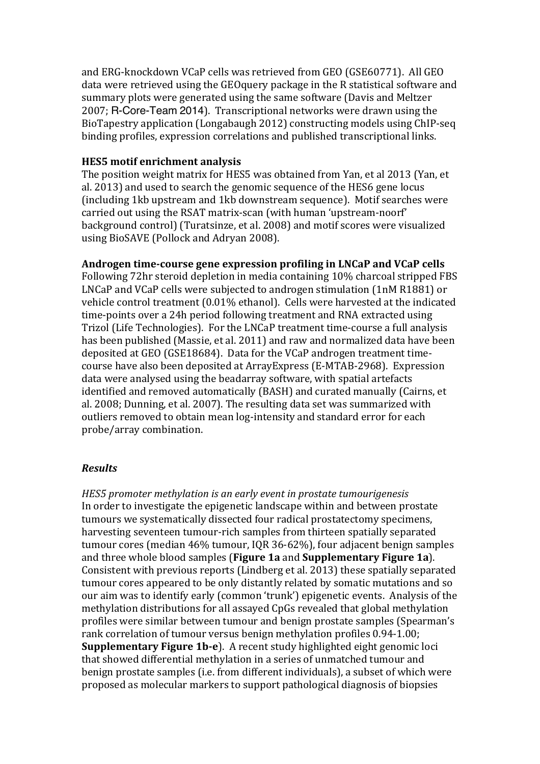and ERG-knockdown VCaP cells was retrieved from GEO (GSE60771). All GEO data were retrieved using the GEOquery package in the R statistical software and summary plots were generated using the same software (Davis and Meltzer 2007; R-Core-Team 2014). Transcriptional networks were drawn using the BioTapestry application (Longabaugh 2012) constructing models using ChIP-seq binding profiles, expression correlations and published transcriptional links.

## **HES5** motif enrichment analysis

The position weight matrix for HES5 was obtained from Yan, et al 2013 (Yan, et al. 2013) and used to search the genomic sequence of the HES6 gene locus (including 1kb upstream and 1kb downstream sequence). Motif searches were carried out using the RSAT matrix-scan (with human 'upstream-noorf' background control) (Turatsinze, et al. 2008) and motif scores were visualized using BioSAVE (Pollock and Adryan 2008).

## Androgen time-course gene expression profiling in LNCaP and VCaP cells

Following 72hr steroid depletion in media containing 10% charcoal stripped FBS LNCaP and VCaP cells were subjected to androgen stimulation (1nM R1881) or vehicle control treatment (0.01% ethanol). Cells were harvested at the indicated time-points over a 24h period following treatment and RNA extracted using Trizol (Life Technologies). For the LNCaP treatment time-course a full analysis has been published (Massie, et al. 2011) and raw and normalized data have been deposited at GEO (GSE18684). Data for the VCaP androgen treatment timecourse have also been deposited at ArrayExpress (E-MTAB-2968). Expression data were analysed using the beadarray software, with spatial artefacts identified and removed automatically (BASH) and curated manually (Cairns, et al. 2008; Dunning, et al. 2007). The resulting data set was summarized with outliers removed to obtain mean log-intensity and standard error for each probe/array combination.

## *Results*

*HES5* promoter methylation is an early event in prostate tumourigenesis In order to investigate the epigenetic landscape within and between prostate tumours we systematically dissected four radical prostatectomy specimens, harvesting seventeen tumour-rich samples from thirteen spatially separated tumour cores (median  $46\%$  tumour, IQR 36-62%), four adjacent benign samples and three whole blood samples (Figure 1a and Supplementary Figure 1a). Consistent with previous reports (Lindberg et al. 2013) these spatially separated tumour cores appeared to be only distantly related by somatic mutations and so our aim was to identify early (common 'trunk') epigenetic events. Analysis of the methylation distributions for all assayed CpGs revealed that global methylation profiles were similar between tumour and benign prostate samples (Spearman's rank correlation of tumour versus benign methylation profiles 0.94-1.00; **Supplementary Figure 1b-e**). A recent study highlighted eight genomic loci that showed differential methylation in a series of unmatched tumour and benign prostate samples (i.e. from different individuals), a subset of which were proposed as molecular markers to support pathological diagnosis of biopsies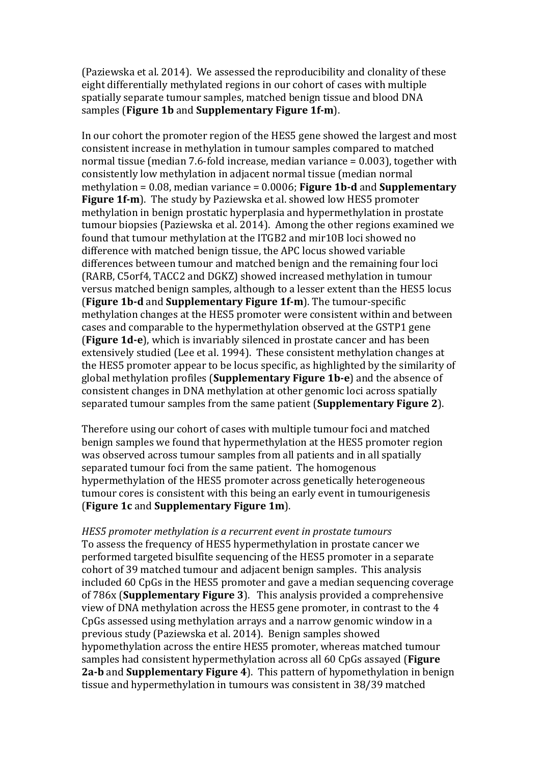(Paziewska et al. 2014). We assessed the reproducibility and clonality of these eight differentially methylated regions in our cohort of cases with multiple spatially separate tumour samples, matched benign tissue and blood DNA samples (**Figure 1b** and **Supplementary Figure 1f-m**).

In our cohort the promoter region of the HES5 gene showed the largest and most consistent increase in methylation in tumour samples compared to matched normal tissue (median 7.6-fold increase, median variance  $= 0.003$ ), together with consistently low methylation in adjacent normal tissue (median normal methylation  $= 0.08$ , median variance  $= 0.0006$ ; **Figure 1b-d** and **Supplementary Figure 1f-m**). The study by Paziewska et al. showed low HES5 promoter methylation in benign prostatic hyperplasia and hypermethylation in prostate tumour biopsies (Paziewska et al. 2014). Among the other regions examined we found that tumour methylation at the ITGB2 and mir10B loci showed no difference with matched benign tissue, the APC locus showed variable differences between tumour and matched benign and the remaining four loci (RARB, C5orf4, TACC2 and DGKZ) showed increased methylation in tumour versus matched benign samples, although to a lesser extent than the HES5 locus **(Figure 1b-d and Supplementary Figure 1f-m).** The tumour-specific methylation changes at the HES5 promoter were consistent within and between cases and comparable to the hypermethylation observed at the GSTP1 gene **(Figure 1d-e)**, which is invariably silenced in prostate cancer and has been extensively studied (Lee et al. 1994). These consistent methylation changes at the HES5 promoter appear to be locus specific, as highlighted by the similarity of global methylation profiles (**Supplementary Figure 1b-e**) and the absence of consistent changes in DNA methylation at other genomic loci across spatially separated tumour samples from the same patient (**Supplementary Figure 2**).

Therefore using our cohort of cases with multiple tumour foci and matched benign samples we found that hypermethylation at the HES5 promoter region was observed across tumour samples from all patients and in all spatially separated tumour foci from the same patient. The homogenous hypermethylation of the HES5 promoter across genetically heterogeneous tumour cores is consistent with this being an early event in tumourigenesis (**Figure 1c** and **Supplementary Figure 1m**). 

*HES5* promoter methylation is a recurrent event in prostate tumours To assess the frequency of HES5 hypermethylation in prostate cancer we performed targeted bisulfite sequencing of the HES5 promoter in a separate cohort of 39 matched tumour and adjacent benign samples. This analysis included 60 CpGs in the HES5 promoter and gave a median sequencing coverage of 786x (**Supplementary Figure 3**). This analysis provided a comprehensive view of DNA methylation across the HES5 gene promoter, in contrast to the 4 CpGs assessed using methylation arrays and a narrow genomic window in a previous study (Paziewska et al. 2014). Benign samples showed hypomethylation across the entire HES5 promoter, whereas matched tumour samples had consistent hypermethylation across all 60 CpGs assayed (Figure **2a-b** and **Supplementary Figure 4**). This pattern of hypomethylation in benign tissue and hypermethylation in tumours was consistent in 38/39 matched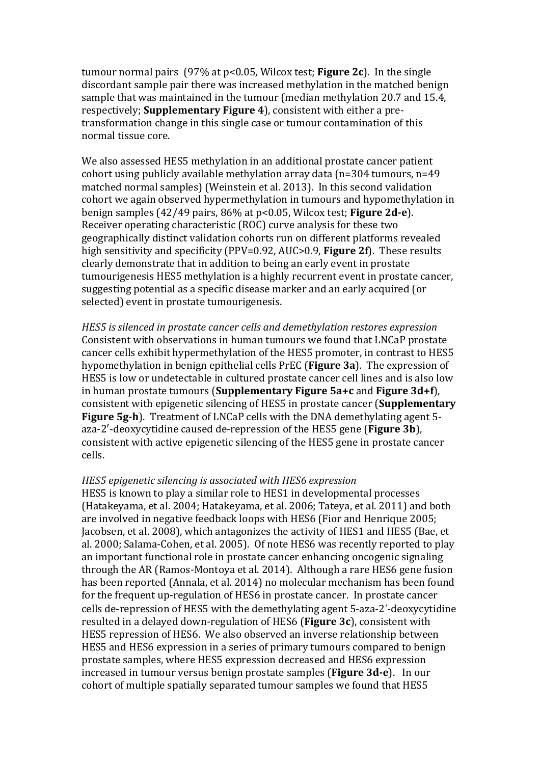tumour normal pairs  $(97\% \text{ at } p<0.05, \text{Wilcox test}; \text{Figure 2c})$ . In the single discordant sample pair there was increased methylation in the matched benign sample that was maintained in the tumour (median methylation 20.7 and 15.4, respectively; **Supplementary Figure 4**), consistent with either a pretransformation change in this single case or tumour contamination of this normal tissue core.

We also assessed HES5 methylation in an additional prostate cancer patient cohort using publicly available methylation array data  $(n=304 \text{ tumours}, n=49)$ matched normal samples) (Weinstein et al. 2013). In this second validation cohort we again observed hypermethylation in tumours and hypomethylation in benign samples (42/49 pairs, 86% at p<0.05, Wilcox test; **Figure 2d-e**). Receiver operating characteristic (ROC) curve analysis for these two geographically distinct validation cohorts run on different platforms revealed high sensitivity and specificity (PPV=0.92, AUC>0.9, **Figure 2f**). These results clearly demonstrate that in addition to being an early event in prostate tumourigenesis HES5 methylation is a highly recurrent event in prostate cancer, suggesting potential as a specific disease marker and an early acquired (or selected) event in prostate tumourigenesis.

*HES5* is silenced in prostate cancer cells and demethylation restores expression Consistent with observations in human tumours we found that LNCaP prostate cancer cells exhibit hypermethylation of the HES5 promoter, in contrast to HES5 hypomethylation in benign epithelial cells PrEC (**Figure 3a**). The expression of HES5 is low or undetectable in cultured prostate cancer cell lines and is also low in human prostate tumours (**Supplementary Figure 5a+c** and **Figure 3d+f**), consistent with epigenetic silencing of HES5 in prostate cancer (**Supplementary Figure 5g-h**). Treatment of LNCaP cells with the DNA demethylating agent 5aza-2'-deoxycytidine caused de-repression of the HES5 gene (**Figure 3b**), consistent with active epigenetic silencing of the HES5 gene in prostate cancer cells. 

### *HES5 epigenetic silencing is associated with HES6 expression*

HES5 is known to play a similar role to HES1 in developmental processes (Hatakeyama, et al. 2004; Hatakeyama, et al. 2006; Tateya, et al. 2011) and both are involved in negative feedback loops with HES6 (Fior and Henrique 2005; Jacobsen, et al. 2008), which antagonizes the activity of HES1 and HES5 (Bae, et al. 2000: Salama-Cohen, et al. 2005). Of note HES6 was recently reported to play an important functional role in prostate cancer enhancing oncogenic signaling through the AR (Ramos-Montoya et al. 2014). Although a rare HES6 gene fusion has been reported (Annala, et al. 2014) no molecular mechanism has been found for the frequent up-regulation of HES6 in prostate cancer. In prostate cancer cells de-repression of HES5 with the demethylating agent 5-aza-2'-deoxycytidine resulted in a delayed down-regulation of HES6 (**Figure 3c**), consistent with HES5 repression of HES6. We also observed an inverse relationship between HES5 and HES6 expression in a series of primary tumours compared to benign prostate samples, where HES5 expression decreased and HES6 expression increased in tumour versus benign prostate samples (**Figure 3d-e**). In our cohort of multiple spatially separated tumour samples we found that HES5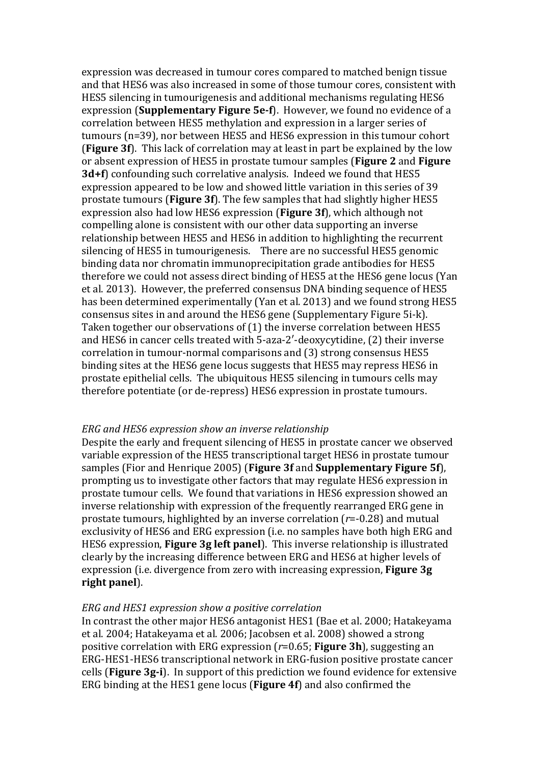expression was decreased in tumour cores compared to matched benign tissue and that HES6 was also increased in some of those tumour cores, consistent with HES5 silencing in tumourigenesis and additional mechanisms regulating HES6 expression (**Supplementary Figure 5e-f**). However, we found no evidence of a correlation between HES5 methylation and expression in a larger series of tumours (n=39), nor between HES5 and HES6 expression in this tumour cohort **(Figure 3f)**. This lack of correlation may at least in part be explained by the low or absent expression of HES5 in prostate tumour samples (Figure 2 and Figure **3d+f**) confounding such correlative analysis. Indeed we found that HES5 expression appeared to be low and showed little variation in this series of 39 prostate tumours (**Figure 3f**). The few samples that had slightly higher HES5 expression also had low HES6 expression (**Figure 3f**), which although not compelling alone is consistent with our other data supporting an inverse relationship between HES5 and HES6 in addition to highlighting the recurrent silencing of HES5 in tumourigenesis. There are no successful HES5 genomic binding data nor chromatin immunoprecipitation grade antibodies for HES5 therefore we could not assess direct binding of HES5 at the HES6 gene locus (Yan et al. 2013). However, the preferred consensus DNA binding sequence of HES5 has been determined experimentally (Yan et al. 2013) and we found strong HES5 consensus sites in and around the HES6 gene (Supplementary Figure 5i-k). Taken together our observations of  $(1)$  the inverse correlation between HES5 and HES6 in cancer cells treated with 5-aza-2'-deoxycytidine, (2) their inverse correlation in tumour-normal comparisons and (3) strong consensus HES5 binding sites at the HES6 gene locus suggests that HES5 may repress HES6 in prostate epithelial cells. The ubiquitous HES5 silencing in tumours cells may therefore potentiate (or de-repress) HES6 expression in prostate tumours.

### *ERG and HES6 expression show an inverse relationship*

Despite the early and frequent silencing of HES5 in prostate cancer we observed variable expression of the HES5 transcriptional target HES6 in prostate tumour samples (Fior and Henrique 2005) (**Figure 3f** and **Supplementary Figure 5f**), prompting us to investigate other factors that may regulate HES6 expression in prostate tumour cells. We found that variations in HES6 expression showed an inverse relationship with expression of the frequently rearranged ERG gene in prostate tumours, highlighted by an inverse correlation  $(r=0.28)$  and mutual exclusivity of HES6 and ERG expression (i.e. no samples have both high ERG and HES6 expression, **Figure 3g left panel**). This inverse relationship is illustrated clearly by the increasing difference between ERG and HES6 at higher levels of expression (i.e. divergence from zero with increasing expression, **Figure 3g** right panel).

#### *ERG and HES1 expression show a positive correlation*

In contrast the other major HES6 antagonist HES1 (Bae et al. 2000; Hatakeyama et al. 2004; Hatakeyama et al. 2006; Jacobsen et al. 2008) showed a strong positive correlation with ERG expression  $(r=0.65;$  **Figure 3h**), suggesting an ERG-HES1-HES6 transcriptional network in ERG-fusion positive prostate cancer cells (**Figure 3g-i**). In support of this prediction we found evidence for extensive ERG binding at the HES1 gene locus (**Figure 4f**) and also confirmed the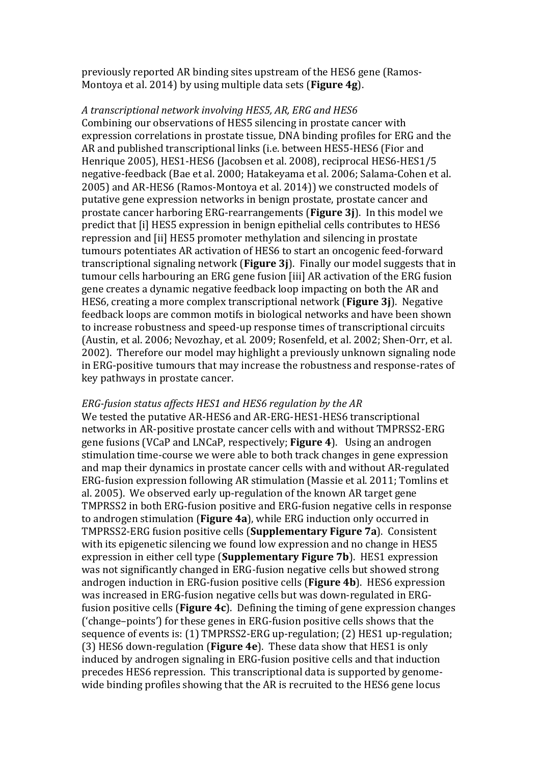previously reported AR binding sites upstream of the HES6 gene (Ramos-Montoya et al. 2014) by using multiple data sets (**Figure 4g**).

#### *A transcriptional network involving HES5, AR, ERG and HES6*

Combining our observations of HES5 silencing in prostate cancer with expression correlations in prostate tissue, DNA binding profiles for ERG and the AR and published transcriptional links (i.e. between HES5-HES6 (Fior and Henrique 2005), HES1-HES6 (Jacobsen et al. 2008), reciprocal HES6-HES1/5 negative-feedback (Bae et al. 2000; Hatakeyama et al. 2006; Salama-Cohen et al. 2005) and AR-HES6 (Ramos-Montova et al. 2014)) we constructed models of putative gene expression networks in benign prostate, prostate cancer and prostate cancer harboring ERG-rearrangements (**Figure 3j**). In this model we predict that [i] HES5 expression in benign epithelial cells contributes to HES6 repression and [ii] HES5 promoter methylation and silencing in prostate tumours potentiates AR activation of HES6 to start an oncogenic feed-forward transcriptional signaling network (**Figure 3j**). Finally our model suggests that in tumour cells harbouring an ERG gene fusion [iii] AR activation of the ERG fusion gene creates a dynamic negative feedback loop impacting on both the AR and HES6, creating a more complex transcriptional network (**Figure 3j**). Negative feedback loops are common motifs in biological networks and have been shown to increase robustness and speed-up response times of transcriptional circuits (Austin, et al. 2006; Nevozhay, et al. 2009; Rosenfeld, et al. 2002; Shen-Orr, et al. 2002). Therefore our model may highlight a previously unknown signaling node in ERG-positive tumours that may increase the robustness and response-rates of key pathways in prostate cancer.

#### *ERG-fusion status affects HES1 and HES6 regulation by the AR*

We tested the putative AR-HES6 and AR-ERG-HES1-HES6 transcriptional networks in AR-positive prostate cancer cells with and without TMPRSS2-ERG gene fusions (VCaP and LNCaP, respectively; **Figure 4**). Using an androgen stimulation time-course we were able to both track changes in gene expression and map their dynamics in prostate cancer cells with and without AR-regulated ERG-fusion expression following AR stimulation (Massie et al. 2011; Tomlins et al. 2005). We observed early up-regulation of the known AR target gene TMPRSS2 in both ERG-fusion positive and ERG-fusion negative cells in response to androgen stimulation (**Figure 4a**), while ERG induction only occurred in **TMPRSS2-ERG** fusion positive cells (**Supplementary Figure 7a**). Consistent with its epigenetic silencing we found low expression and no change in HES5 expression in either cell type (**Supplementary Figure 7b**). HES1 expression was not significantly changed in ERG-fusion negative cells but showed strong androgen induction in ERG-fusion positive cells (**Figure 4b**). HES6 expression was increased in ERG-fusion negative cells but was down-regulated in ERGfusion positive cells (**Figure 4c**). Defining the timing of gene expression changes  $('change-points')$  for these genes in ERG-fusion positive cells shows that the sequence of events is: (1) TMPRSS2-ERG up-regulation; (2) HES1 up-regulation; (3) HES6 down-regulation (**Figure 4e**). These data show that HES1 is only induced by androgen signaling in ERG-fusion positive cells and that induction precedes HES6 repression. This transcriptional data is supported by genomewide binding profiles showing that the AR is recruited to the HES6 gene locus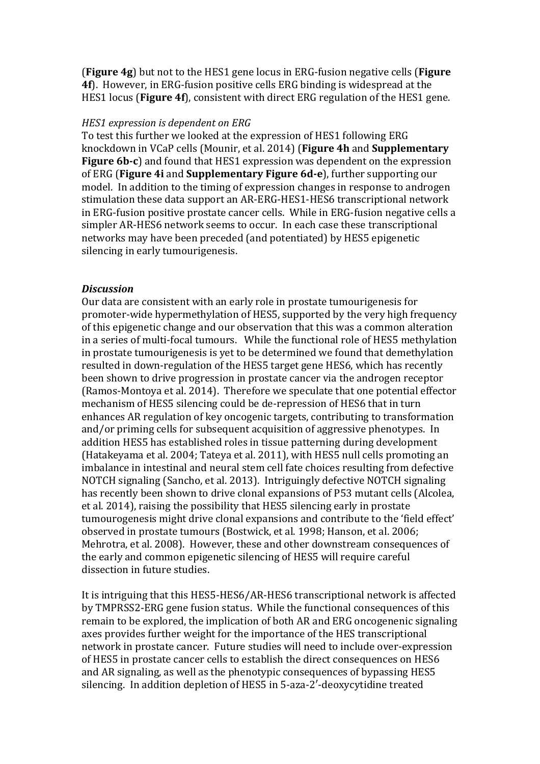**(Figure 4g)** but not to the HES1 gene locus in ERG-fusion negative cells (**Figure 4f**). However, in ERG-fusion positive cells ERG binding is widespread at the HES1 locus (**Figure 4f**), consistent with direct ERG regulation of the HES1 gene.

#### *HES1* expression is dependent on ERG

To test this further we looked at the expression of HES1 following ERG knockdown in VCaP cells (Mounir, et al. 2014) (**Figure 4h** and **Supplementary Figure 6b-c**) and found that HES1 expression was dependent on the expression of ERG (**Figure 4i** and **Supplementary Figure 6d-e**), further supporting our model. In addition to the timing of expression changes in response to androgen stimulation these data support an AR-ERG-HES1-HES6 transcriptional network in ERG-fusion positive prostate cancer cells. While in ERG-fusion negative cells a simpler AR-HES6 network seems to occur. In each case these transcriptional networks may have been preceded (and potentiated) by HES5 epigenetic silencing in early tumourigenesis.

#### *Discussion*

Our data are consistent with an early role in prostate tumourigenesis for promoter-wide hypermethylation of HES5, supported by the very high frequency of this epigenetic change and our observation that this was a common alteration in a series of multi-focal tumours. While the functional role of HES5 methylation in prostate tumourigenesis is yet to be determined we found that demethylation resulted in down-regulation of the HES5 target gene HES6, which has recently been shown to drive progression in prostate cancer via the androgen receptor (Ramos-Montoya et al. 2014). Therefore we speculate that one potential effector mechanism of HES5 silencing could be de-repression of HES6 that in turn enhances AR regulation of key oncogenic targets, contributing to transformation and/or priming cells for subsequent acquisition of aggressive phenotypes. In addition HES5 has established roles in tissue patterning during development (Hatakeyama et al. 2004; Tateya et al. 2011), with HES5 null cells promoting an imbalance in intestinal and neural stem cell fate choices resulting from defective NOTCH signaling (Sancho, et al. 2013). Intriguingly defective NOTCH signaling has recently been shown to drive clonal expansions of P53 mutant cells (Alcolea, et al. 2014), raising the possibility that HES5 silencing early in prostate tumourogenesis might drive clonal expansions and contribute to the 'field effect' observed in prostate tumours (Bostwick, et al. 1998; Hanson, et al. 2006; Mehrotra, et al. 2008). However, these and other downstream consequences of the early and common epigenetic silencing of HES5 will require careful dissection in future studies.

It is intriguing that this HES5-HES6/AR-HES6 transcriptional network is affected by TMPRSS2-ERG gene fusion status. While the functional consequences of this remain to be explored, the implication of both AR and ERG oncogenenic signaling axes provides further weight for the importance of the HES transcriptional network in prostate cancer. Future studies will need to include over-expression of HES5 in prostate cancer cells to establish the direct consequences on HES6 and AR signaling, as well as the phenotypic consequences of bypassing HES5 silencing. In addition depletion of HES5 in 5-aza-2'-deoxycytidine treated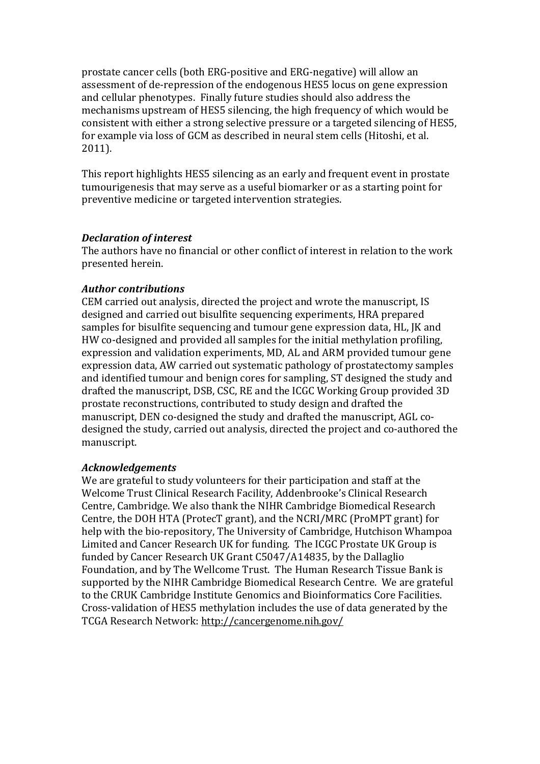prostate cancer cells (both ERG-positive and ERG-negative) will allow an assessment of de-repression of the endogenous HES5 locus on gene expression and cellular phenotypes. Finally future studies should also address the mechanisms upstream of HES5 silencing, the high frequency of which would be consistent with either a strong selective pressure or a targeted silencing of HES5, for example via loss of GCM as described in neural stem cells (Hitoshi, et al. 2011).

This report highlights HES5 silencing as an early and frequent event in prostate tumourigenesis that may serve as a useful biomarker or as a starting point for preventive medicine or targeted intervention strategies.

### *Declaration of interest*

The authors have no financial or other conflict of interest in relation to the work presented herein.

## *Author contributions*

CEM carried out analysis, directed the project and wrote the manuscript, IS designed and carried out bisulfite sequencing experiments, HRA prepared samples for bisulfite sequencing and tumour gene expression data, HL, JK and HW co-designed and provided all samples for the initial methylation profiling, expression and validation experiments, MD, AL and ARM provided tumour gene expression data, AW carried out systematic pathology of prostatectomy samples and identified tumour and benign cores for sampling, ST designed the study and drafted the manuscript, DSB, CSC, RE and the ICGC Working Group provided 3D prostate reconstructions, contributed to study design and drafted the manuscript, DEN co-designed the study and drafted the manuscript, AGL codesigned the study, carried out analysis, directed the project and co-authored the manuscript.

### *Acknowledgements*

We are grateful to study volunteers for their participation and staff at the Welcome Trust Clinical Research Facility, Addenbrooke's Clinical Research Centre, Cambridge. We also thank the NIHR Cambridge Biomedical Research Centre, the DOH HTA (ProtecT grant), and the NCRI/MRC (ProMPT grant) for help with the bio-repository. The University of Cambridge, Hutchison Whampoa Limited and Cancer Research UK for funding. The ICGC Prostate UK Group is funded by Cancer Research UK Grant C5047/A14835, by the Dallaglio Foundation, and by The Wellcome Trust. The Human Research Tissue Bank is supported by the NIHR Cambridge Biomedical Research Centre. We are grateful to the CRUK Cambridge Institute Genomics and Bioinformatics Core Facilities. Cross-validation of HES5 methylation includes the use of data generated by the TCGA Research Network: http://cancergenome.nih.gov/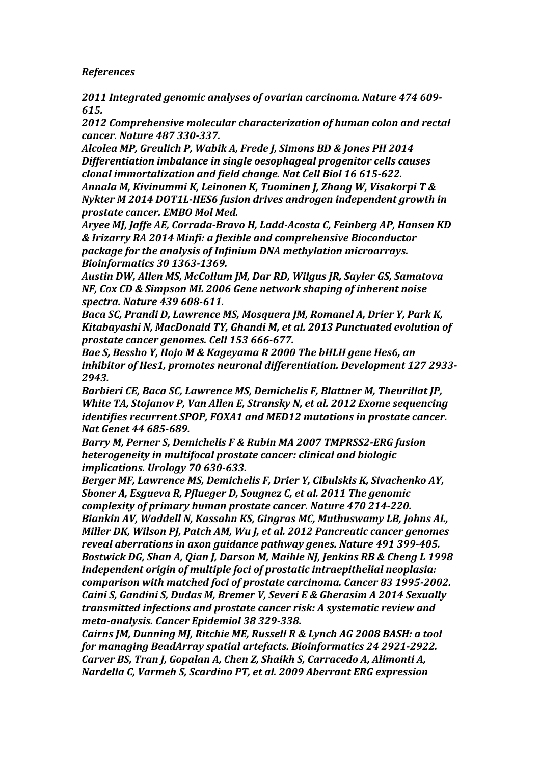*References*

*2011 Integrated genomic analyses of ovarian carcinoma. Nature 474 609- 615.*

2012 Comprehensive molecular characterization of human colon and rectal *cancer. Nature 487 330-337.*

Alcolea MP, Greulich P, Wabik A, Frede J, Simons BD & Jones PH 2014 **Differentiation imbalance in single oesophageal progenitor cells causes** *clonal immortalization and field change. Nat Cell Biol 16 615-622.* 

Annala *M, Kivinummi K, Leinonen K, Tuominen J, Zhang W, Visakorpi T & Nykter M* 2014 *DOT1L-HES6* fusion drives androgen independent growth in *prostate cancer.* EMBO Mol Med.

Aryee MJ, Jaffe AE, Corrada-Bravo H, Ladd-Acosta C, Feinberg AP, Hansen KD *& Irizarry RA 2014 Minfi: a flexible and comprehensive Bioconductor package for the analysis of Infinium DNA methylation microarrays. Bioinformatics 30 1363-1369.*

Austin DW, Allen MS, McCollum *IM, Dar RD, Wilgus IR, Sayler GS, Samatova NF, Cox CD & Simpson ML 2006 Gene network shaping of inherent noise spectra. Nature 439 608-611.*

*Baca SC, Prandi D, Lawrence MS, Mosquera JM, Romanel A, Drier Y, Park K,* Kitabayashi N, MacDonald TY, Ghandi M, et al. 2013 Punctuated evolution of *prostate cancer genomes. Cell 153 666-677.*

Bae S, Bessho Y, Hojo M & Kageyama R 2000 The bHLH gene Hes6, an *inhibitor of Hes1, promotes neuronal differentiation. Development 127 2933-2943.*

*Barbieri CE, Baca SC, Lawrence MS, Demichelis F, Blattner M, Theurillat JP, White TA, Stojanov P, Van Allen E, Stransky N, et al. 2012 Exome sequencing identifies recurrent SPOP, FOXA1 and MED12 mutations in prostate cancer. Nat Genet 44 685-689.*

*Barry M, Perner S, Demichelis F & Rubin MA 2007 TMPRSS2-ERG fusion heterogeneity in multifocal prostate cancer: clinical and biologic implications. Urology 70 630-633.*

*Berger MF, Lawrence MS, Demichelis F, Drier Y, Cibulskis K, Sivachenko AY,* **Sboner A, Esqueva R, Pflueger D, Sougnez C, et al. 2011 The genomic** *complexity of primary human prostate cancer. Nature 470 214-220. Biankin AV, Waddell N, Kassahn KS, Gingras MC, Muthuswamy LB, Johns AL, Miller DK, Wilson PI, Patch AM, Wu I, et al. 2012 Pancreatic cancer genomes* reveal aberrations in axon auidance pathway genes. Nature 491 399-405. *Bostwick DG, Shan A, Oian J, Darson M, Maihle NJ, Jenkins RB & Cheng L 1998 Independent origin of multiple foci of prostatic intraepithelial neoplasia: comparison with matched foci of prostate carcinoma. Cancer 83 1995-2002.* **Caini S, Gandini S, Dudas M, Bremer V, Severi E & Gherasim A 2014 Sexually** *transmitted infections and prostate cancer risk: A systematic review and meta-analysis. Cancer Epidemiol 38 329-338.*

*Cairns JM, Dunning MJ, Ritchie ME, Russell R & Lynch AG 2008 BASH: a tool for managing BeadArray spatial artefacts. Bioinformatics 24 2921-2922. Carver BS, Tran J, Gopalan A, Chen Z, Shaikh S, Carracedo A, Alimonti A, Nardella C, Varmeh S, Scardino PT, et al. 2009 Aberrant ERG expression*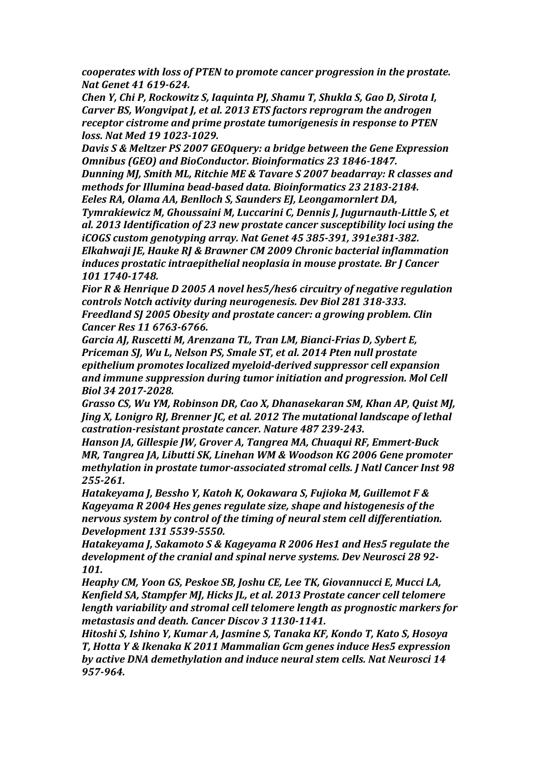*cooperates with loss of PTEN to promote cancer progression in the prostate. Nat Genet 41 619-624.*

*Chen Y, Chi P, Rockowitz S, Iaquinta PJ, Shamu T, Shukla S, Gao D, Sirota I, Carver BS, Wongvipat J, et al. 2013 ETS factors reprogram the androgen receptor cistrome and prime prostate tumorigenesis in response to PTEN loss. Nat Med 19 1023-1029.*

*Davis* S & Meltzer PS 2007 GEOquery: a bridge between the Gene Expression *Omnibus (GEO) and BioConductor. Bioinformatics 23 1846-1847.*

*Dunning MJ, Smith ML, Ritchie ME & Tavare S 2007 beadarray: R classes and* methods for Illumina bead-based data. Bioinformatics 23 2183-2184.

*Eeles RA, Olama AA, Benlloch S, Saunders EJ, Leongamornlert DA,* **Tymrakiewicz M, Ghoussaini M, Luccarini C, Dennis J, Jugurnauth-Little S, et** al. 2013 Identification of 23 new prostate cancer susceptibility loci using the *iCOGS* custom genotyping array. Nat Genet 45 385-391, 391e381-382. Elkahwaji *JE, Hauke RJ & Brawner CM 2009 Chronic bacterial inflammation induces prostatic intraepithelial neoplasia in mouse prostate. Br I Cancer 101 1740-1748.*

*Fior R & Henrique D 2005 A novel hes5/hes6 circuitry of negative regulation controls Notch activity during neurogenesis. Dev Biol 281 318-333. Freedland SJ 2005 Obesity and prostate cancer: a growing problem. Clin Cancer Res 11 6763-6766.*

Garcia AJ, Ruscetti M, Arenzana TL, Tran LM, Bianci-Frias D, Sybert E, *Priceman SJ, Wu L, Nelson PS, Smale ST, et al. 2014 Pten null prostate epithelium promotes localized myeloid-derived suppressor cell expansion* and *immune suppression during tumor initiation and progression. Mol Cell Biol 34 2017-2028.*

*Grasso CS, Wu YM, Robinson DR, Cao X, Dhanasekaran SM, Khan AP, Quist MJ, Jing X, Lonigro RJ, Brenner JC, et al. 2012 The mutational landscape of lethal castration-resistant prostate cancer. Nature 487 239-243.*

*Hanson JA, Gillespie JW, Grover A, Tangrea MA, Chuaqui RF, Emmert-Buck MR, Tangrea JA, Libutti SK, Linehan WM & Woodson KG 2006 Gene promoter methylation in prostate tumor-associated stromal cells. J Natl Cancer Inst 98 255-261.*

*Hatakeyama J, Bessho Y, Katoh K, Ookawara S, Fujioka M, Guillemot F & Kageyama R 2004 Hes genes regulate size, shape and histogenesis of the nervous system by control of the timing of neural stem cell differentiation. Development 131 5539-5550.*

*Hatakevama I. Sakamoto S & Kagevama R 2006 Hes1 and Hes5 regulate the* development of the cranial and spinal nerve systems. Dev Neurosci 28 92-*101.*

*Heaphy CM, Yoon GS, Peskoe SB, Joshu CE, Lee TK, Giovannucci E, Mucci LA, Kenfield SA, Stampfer MI, Hicks IL, et al. 2013 Prostate cancer cell telomere length variability and stromal cell telomere length as prognostic markers for metastasis and death. Cancer Discov 3 1130-1141.* 

*Hitoshi S, Ishino Y, Kumar A, Jasmine S, Tanaka KF, Kondo T, Kato S, Hosoya T, Hotta Y & Ikenaka K 2011 Mammalian Gcm genes induce Hes5 expression*  by active DNA demethylation and induce neural stem cells. Nat Neurosci 14 *957-964.*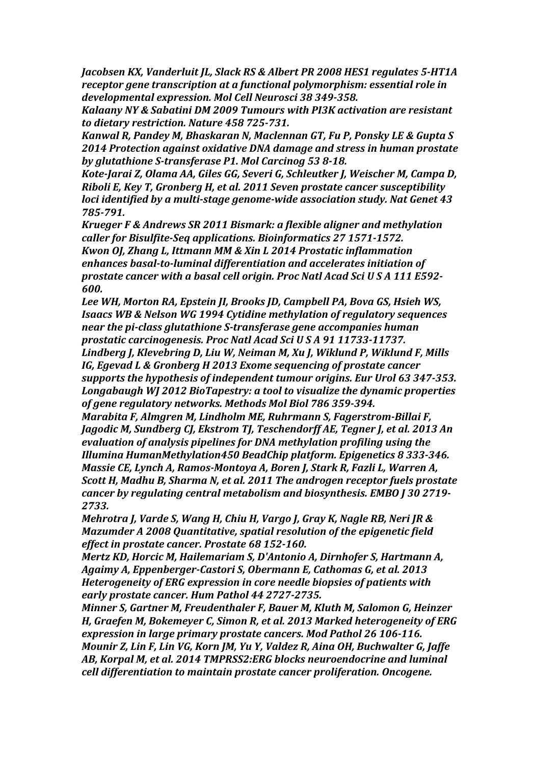*Jacobsen KX, Vanderluit JL, Slack RS & Albert PR 2008 HES1 regulates 5-HT1A receptor gene transcription at a functional polymorphism: essential role in developmental expression. Mol Cell Neurosci 38 349-358.*

*Kalaany NY & Sabatini DM 2009 Tumours with PI3K activation are resistant to dietary restriction. Nature 458 725-731.*

*Kanwal R, Pandey M, Bhaskaran N, Maclennan GT, Fu P, Ponsky LE & Gupta S* **2014 Protection against oxidative DNA damage and stress in human prostate** by glutathione S-transferase P1. Mol Carcinog 53 8-18.

*Kote-Jarai Z, Olama AA, Giles GG, Severi G, Schleutker J, Weischer M, Campa D, Riboli E, Key T, Gronberg H, et al. 2011 Seven prostate cancer susceptibility loci identified by a multi-stage genome-wide association study. Nat Genet 43 785-791.*

*Krueger* F & Andrews SR 2011 Bismark: a flexible aligner and methylation *caller for Bisulfite-Seq applications. Bioinformatics 27 1571-1572. Kwon OJ, Zhang L, Ittmann MM & Xin L 2014 Prostatic inflammation* enhances basal-to-luminal differentiation and accelerates initiation of *prostate cancer with a basal cell origin. Proc Natl Acad Sci U S A 111 E592-600.*

Lee WH, Morton RA, Epstein *JI, Brooks JD, Campbell PA, Bova GS, Hsieh WS,* **Isaacs WB & Nelson WG 1994 Cytidine methylation of regulatory sequences** *near the pi-class glutathione S-transferase gene accompanies human prostatic carcinogenesis. Proc Natl Acad Sci U S A 91 11733-11737.* Lindberg *J, Klevebring D, Liu W, Neiman M, Xu J, Wiklund P, Wiklund F, Mills* 

*IG, Egevad L & Gronberg H 2013 Exome sequencing of prostate cancer* supports the hypothesis of independent tumour origins. Eur Urol 63 347-353. *Longabaugh WJ 2012 BioTapestry: a tool to visualize the dynamic properties* of gene regulatory networks. Methods Mol Biol 786 359-394.

*Marabita F, Almgren M, Lindholm ME, Ruhrmann S, Fagerstrom-Billai F, Jagodic M, Sundberg CJ, Ekstrom TJ, Teschendorff AE, Tegner J, et al. 2013 An* evaluation of analysis pipelines for DNA methylation profiling using the *Illumina HumanMethylation450 BeadChip platform. Epigenetics 8 333-346. Massie CE, Lynch A, Ramos-Montoya A, Boren J, Stark R, Fazli L, Warren A, Scott H, Madhu B, Sharma N, et al. 2011 The androgen receptor fuels prostate cancer by regulating central metabolism and biosynthesis. EMBO J 30 2719-2733.*

*Mehrotra I, Varde S, Wang H, Chiu H, Vargo J, Gray K, Nagle RB, Neri JR & Mazumder A 2008 Ouantitative, spatial resolution of the epigenetic field effect in prostate cancer. Prostate 68 152-160.* 

*Mertz KD, Horcic M, Hailemariam S, D'Antonio A, Dirnhofer S, Hartmann A,* Agaimy A, Eppenberger-Castori S, Obermann E, Cathomas G, et al. 2013 *Heterogeneity of ERG expression in core needle biopsies of patients with* early prostate cancer. Hum Pathol 44 2727-2735.

*Minner S, Gartner M, Freudenthaler F, Bauer M, Kluth M, Salomon G, Heinzer* **H, Graefen M, Bokemeyer C, Simon R, et al. 2013 Marked heterogeneity of ERG** expression in large primary prostate cancers. Mod Pathol 26 106-116. *Mounir Z, Lin F, Lin VG, Korn JM, Yu Y, Valdez R, Aina OH, Buchwalter G, Jaffe* AB, Korpal M, et al. 2014 TMPRSS2:ERG blocks neuroendocrine and luminal *cell differentiation to maintain prostate cancer proliferation. Oncogene.*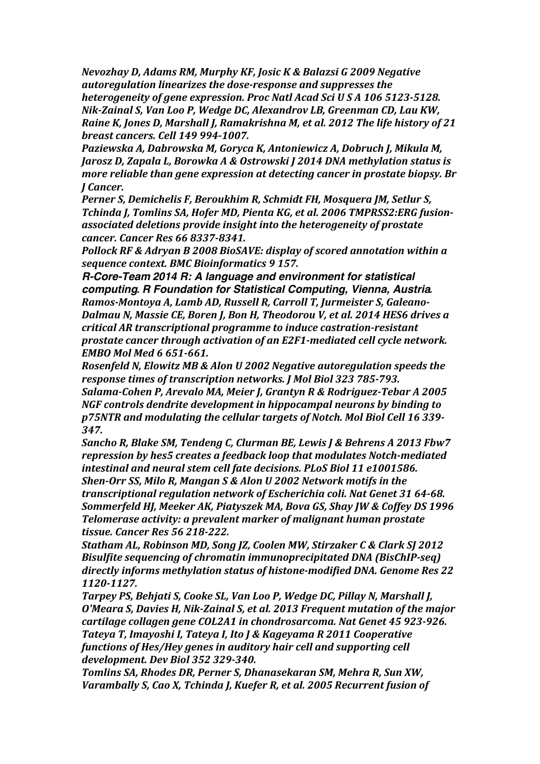*Nevozhay D, Adams RM, Murphy KF, Josic K & Balazsi G 2009 Negative autoregulation linearizes the dose-response and suppresses the heterogeneity of gene expression. Proc Natl Acad Sci U S A 106 5123-5128. Nik-Zainal S, Van Loo P, Wedge DC, Alexandrov LB, Greenman CD, Lau KW, Raine K, Jones D, Marshall J, Ramakrishna M, et al. 2012 The life history of 21 breast cancers. Cell 149 994-1007.*

Paziewska A, Dabrowska M, Goryca K, Antoniewicz A, Dobruch J, Mikula M, *Jarosz D, Zapala L, Borowka A & Ostrowski J 2014 DNA methylation status is more reliable than gene expression at detecting cancer in prostate biopsy. Br J Cancer.*

*Perner S, Demichelis F, Beroukhim R, Schmidt FH, Mosquera JM, Setlur S,* Tchinda *J, Tomlins SA, Hofer MD, Pienta KG, et al. 2006 TMPRSS2:ERG fusionassociated deletions provide insight into the heterogeneity of prostate cancer. Cancer Res 66 8337-8341.*

*Pollock RF & Adryan B 2008 BioSAVE: display of scored annotation within a sequence context. BMC Bioinformatics 9 157.*

*R-Core-Team 2014 R: A language and environment for statistical computing. R Foundation for Statistical Computing, Vienna, Austria.* Ramos-Montoya A, Lamb AD, Russell R, Carroll T, Jurmeister S, Galeano-*Dalmau N, Massie CE, Boren J, Bon H, Theodorou V, et al. 2014 HES6 drives a critical AR transcriptional programme to induce castration-resistant prostate cancer through activation of an E2F1-mediated cell cycle network. EMBO Mol Med 6 651-661.*

*Rosenfeld N, Elowitz MB & Alon U 2002 Negative autoregulation speeds the* response times of transcription networks. *J Mol Biol 323 785-793.* Salama-Cohen P, Arevalo MA, Meier J, Grantyn R & Rodriguez-Tebar A 2005 *NGF* controls dendrite development in hippocampal neurons by binding to *p75NTR and modulating the cellular targets of Notch. Mol Biol Cell 16 339- 347.*

Sancho R, Blake SM, Tendeng C, Clurman BE, Lewis J & Behrens A 2013 Fbw7 *repression by hes5 creates a feedback loop that modulates Notch-mediated*  intestinal and neural stem cell fate decisions. PLoS Biol 11 e1001586. **Shen-Orr SS, Milo R, Mangan S & Alon U 2002 Network motifs in the** *transcriptional regulation network of Escherichia coli. Nat Genet 31 64-68.* Sommerfeld *HJ, Meeker AK, Piatyszek MA, Bova GS, Shay JW & Coffey DS 1996 Telomerase activity: a prevalent marker of malignant human prostate tissue. Cancer Res 56 218-222.*

Statham AL, Robinson MD, Song *JZ, Coolen MW, Stirzaker C & Clark SJ 2012 Bisulfite sequencing of chromatin immunoprecipitated DNA (BisChIP-seq)* directly informs methylation status of histone-modified DNA. Genome Res 22 *1120-1127.*

*Tarpey PS, Behjati S, Cooke SL, Van Loo P, Wedge DC, Pillay N, Marshall J, O'Meara S, Davies H, Nik-Zainal S, et al. 2013 Frequent mutation of the major* cartilage collagen gene COL2A1 in chondrosarcoma. Nat Genet 45 923-926. Tateya T, Imayoshi I, Tateya I, Ito J & Kageyama R 2011 Cooperative *functions of Hes/Hey genes in auditory hair cell and supporting cell development. Dev Biol 352 329-340.*

**Tomlins SA, Rhodes DR, Perner S, Dhanasekaran SM, Mehra R, Sun XW,** *Varambally S, Cao X, Tchinda J, Kuefer R, et al. 2005 Recurrent fusion of*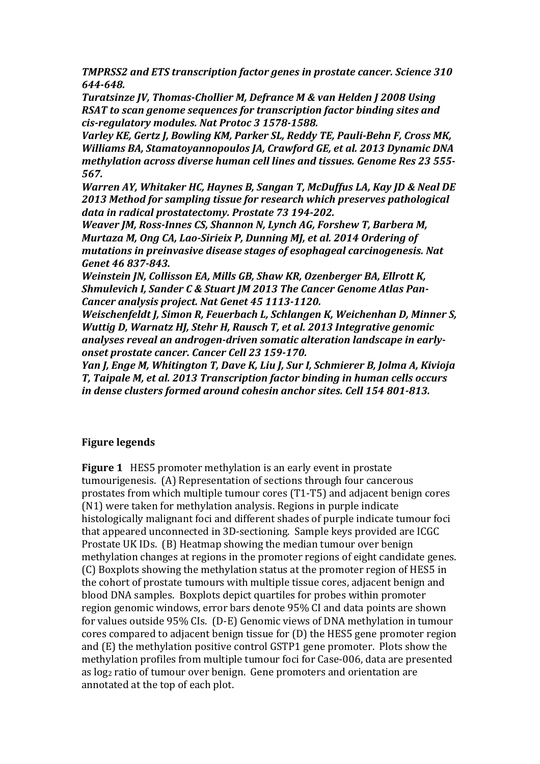**TMPRSS2** and ETS transcription factor genes in prostate cancer. Science 310 *644-648.*

**Turatsinze JV, Thomas-Chollier M, Defrance M & van Helden J 2008 Using** *RSAT* to scan genome sequences for transcription factor binding sites and *cis-regulatory modules. Nat Protoc 3 1578-1588.*

*Varley KE, Gertz J, Bowling KM, Parker SL, Reddy TE, Pauli-Behn F, Cross MK, Williams BA, Stamatoyannopoulos JA, Crawford GE, et al. 2013 Dynamic DNA methylation across diverse human cell lines and tissues. Genome Res 23 555-567.*

*Warren AY, Whitaker HC, Haynes B, Sangan T, McDuffus LA, Kay JD & Neal DE* 2013 Method for sampling tissue for research which preserves pathological data in radical prostatectomy. Prostate 73 194-202.

*Weaver JM, Ross-Innes CS, Shannon N, Lynch AG, Forshew T, Barbera M, Murtaza M, Ong CA, Lao-Sirieix P, Dunning MJ, et al. 2014 Ordering of mutations in preinvasive disease stages of esophageal carcinogenesis. Nat Genet 46 837-843.*

*Weinstein IN, Collisson EA, Mills GB, Shaw KR, Ozenberger BA, Ellrott K,* Shmulevich I, Sander C & Stuart JM 2013 The Cancer Genome Atlas Pan-*Cancer analysis project. Nat Genet 45 1113-1120.* 

*Weischenfeldt J, Simon R, Feuerbach L, Schlangen K, Weichenhan D, Minner S, Wuttig D, Warnatz HJ, Stehr H, Rausch T, et al. 2013 Integrative genomic* analyses reveal an androgen-driven somatic alteration landscape in early*onset prostate cancer. Cancer Cell 23 159-170.*

*Yan J, Enge M, Whitington T, Dave K, Liu J, Sur I, Schmierer B, Jolma A, Kivioja* **T, Taipale M, et al. 2013 Transcription factor binding in human cells occurs** in dense clusters formed around cohesin anchor sites. Cell 154 801-813.

## **Figure legends**

**Figure 1** HES5 promoter methylation is an early event in prostate tumourigenesis. (A) Representation of sections through four cancerous prostates from which multiple tumour cores (T1-T5) and adjacent benign cores  $(N1)$  were taken for methylation analysis. Regions in purple indicate histologically malignant foci and different shades of purple indicate tumour foci that appeared unconnected in 3D-sectioning. Sample keys provided are ICGC Prostate UK IDs. (B) Heatmap showing the median tumour over benign methylation changes at regions in the promoter regions of eight candidate genes. (C) Boxplots showing the methylation status at the promoter region of HES5 in the cohort of prostate tumours with multiple tissue cores, adjacent benign and blood DNA samples. Boxplots depict quartiles for probes within promoter region genomic windows, error bars denote 95% CI and data points are shown for values outside 95% CIs. (D-E) Genomic views of DNA methylation in tumour cores compared to adjacent benign tissue for (D) the HES5 gene promoter region and  $(E)$  the methylation positive control GSTP1 gene promoter. Plots show the methylation profiles from multiple tumour foci for Case-006, data are presented as  $log_2$  ratio of tumour over benign. Gene promoters and orientation are annotated at the top of each plot.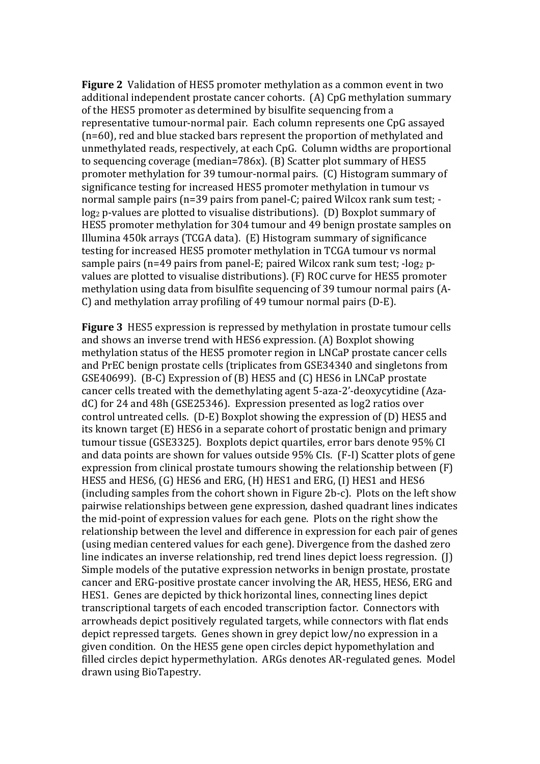**Figure 2** Validation of HES5 promoter methylation as a common event in two additional independent prostate cancer cohorts. (A) CpG methylation summary of the HES5 promoter as determined by bisulfite sequencing from a representative tumour-normal pair. Each column represents one CpG assayed  $(n=60)$ , red and blue stacked bars represent the proportion of methylated and unmethylated reads, respectively, at each CpG. Column widths are proportional to sequencing coverage (median=786x).  $(B)$  Scatter plot summary of HES5 promoter methylation for 39 tumour-normal pairs. (C) Histogram summary of significance testing for increased HES5 promoter methylation in tumour vs normal sample pairs  $(n=39 \text{ pairs from panel-C}; \text{paired Wilcox rank sum test};$  $log_2$  p-values are plotted to visualise distributions). (D) Boxplot summary of HES5 promoter methylation for 304 tumour and 49 benign prostate samples on Illumina  $450k$  arrays (TCGA data). (E) Histogram summary of significance testing for increased HES5 promoter methylation in TCGA tumour vs normal sample pairs  $(n=49 \text{ pairs from panel-E: paired Wilcox rank sum test: } -\log_2 p$ values are plotted to visualise distributions). (F) ROC curve for HES5 promoter methylation using data from bisulfite sequencing of 39 tumour normal pairs (A- $C$ ) and methylation array profiling of 49 tumour normal pairs (D-E).

**Figure 3** HES5 expression is repressed by methylation in prostate tumour cells and shows an inverse trend with HES6 expression. (A) Boxplot showing methylation status of the HES5 promoter region in LNCaP prostate cancer cells and PrEC benign prostate cells (triplicates from GSE34340 and singletons from GSE40699). (B-C) Expression of (B) HES5 and (C) HES6 in LNCaP prostate cancer cells treated with the demethylating agent 5-aza-2'-deoxycytidine (AzadC) for 24 and 48h (GSE25346). Expression presented as log2 ratios over control untreated cells.  $(D-E)$  Boxplot showing the expression of  $(D)$  HES5 and its known target (E) HES6 in a separate cohort of prostatic benign and primary tumour tissue (GSE3325). Boxplots depict quartiles, error bars denote 95% CI and data points are shown for values outside 95% CIs. (F-I) Scatter plots of gene expression from clinical prostate tumours showing the relationship between  $(F)$ HES5 and HES6, (G) HES6 and ERG, (H) HES1 and ERG, (I) HES1 and HES6 (including samples from the cohort shown in Figure 2b-c). Plots on the left show pairwise relationships between gene expression, dashed quadrant lines indicates the mid-point of expression values for each gene. Plots on the right show the relationship between the level and difference in expression for each pair of genes (using median centered values for each gene). Divergence from the dashed zero line indicates an inverse relationship, red trend lines depict loess regression.  $\Pi$ Simple models of the putative expression networks in benign prostate, prostate cancer and ERG-positive prostate cancer involving the AR, HES5, HES6, ERG and HES1. Genes are depicted by thick horizontal lines, connecting lines depict transcriptional targets of each encoded transcription factor. Connectors with arrowheads depict positively regulated targets, while connectors with flat ends depict repressed targets. Genes shown in grey depict low/no expression in a given condition. On the HES5 gene open circles depict hypomethylation and filled circles depict hypermethylation. ARGs denotes AR-regulated genes. Model drawn using BioTapestry.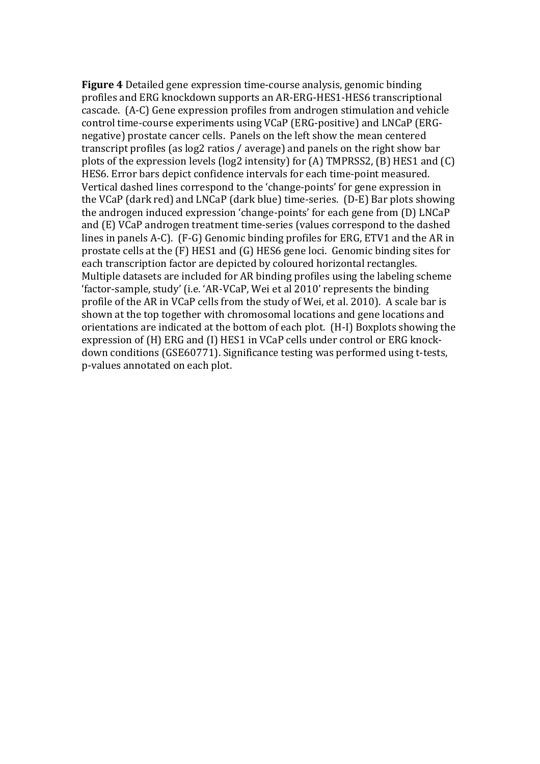**Figure 4** Detailed gene expression time-course analysis, genomic binding profiles and ERG knockdown supports an AR-ERG-HES1-HES6 transcriptional cascade. (A-C) Gene expression profiles from androgen stimulation and vehicle control time-course experiments using VCaP (ERG-positive) and LNCaP (ERGnegative) prostate cancer cells. Panels on the left show the mean centered transcript profiles (as log2 ratios / average) and panels on the right show bar plots of the expression levels (log2 intensity) for (A) TMPRSS2, (B) HES1 and (C) HES6. Error bars depict confidence intervals for each time-point measured. Vertical dashed lines correspond to the 'change-points' for gene expression in the VCaP (dark red) and LNCaP (dark blue) time-series. (D-E) Bar plots showing the androgen induced expression 'change-points' for each gene from (D) LNCaP and (E) VCaP androgen treatment time-series (values correspond to the dashed lines in panels A-C).  $(F-G)$  Genomic binding profiles for ERG, ETV1 and the AR in prostate cells at the  $(F)$  HES1 and  $(G)$  HES6 gene loci. Genomic binding sites for each transcription factor are depicted by coloured horizontal rectangles. Multiple datasets are included for AR binding profiles using the labeling scheme 'factor-sample, study' (i.e. 'AR-VCaP, Wei et al 2010' represents the binding profile of the AR in VCaP cells from the study of Wei, et al. 2010). A scale bar is shown at the top together with chromosomal locations and gene locations and orientations are indicated at the bottom of each plot. (H-I) Boxplots showing the expression of (H) ERG and (I) HES1 in VCaP cells under control or ERG knockdown conditions (GSE60771). Significance testing was performed using t-tests, p-values annotated on each plot.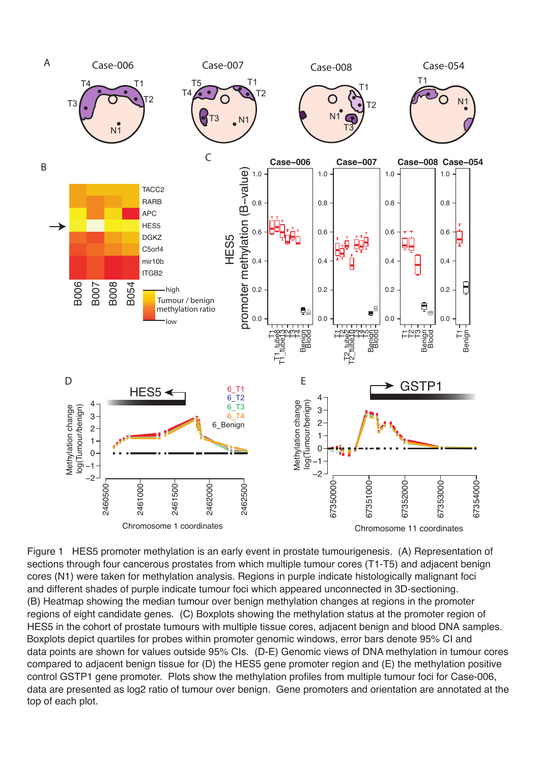

Figure 1 HES5 promoter methylation is an early event in prostate tumourigenesis. (A) Representation of sections through four cancerous prostates from which multiple tumour cores (T1-T5) and adjacent benign cores (N1) were taken for methylation analysis. Regions in purple indicate histologically malignant foci and different shades of purple indicate tumour foci which appeared unconnected in 3D-sectioning. (B) Heatmap showing the median tumour over benign methylation changes at regions in the promoter regions of eight candidate genes. (C) Boxplots showing the methylation status at the promoter region of HES5 in the cohort of prostate tumours with multiple tissue cores, adjacent benign and blood DNA samples. Boxplots depict quartiles for probes within promoter genomic windows, error bars denote 95% CI and data points are shown for values outside 95% CIs. (D-E) Genomic views of DNA methylation in tumour cores compared to adjacent benign tissue for (D) the HES5 gene promoter region and (E) the methylation positive control GSTP1 gene promoter. Plots show the methylation profiles from multiple tumour foci for Case-006, data are presented as log2 ratio of tumour over benign. Gene promoters and orientation are annotated at the top of each plot.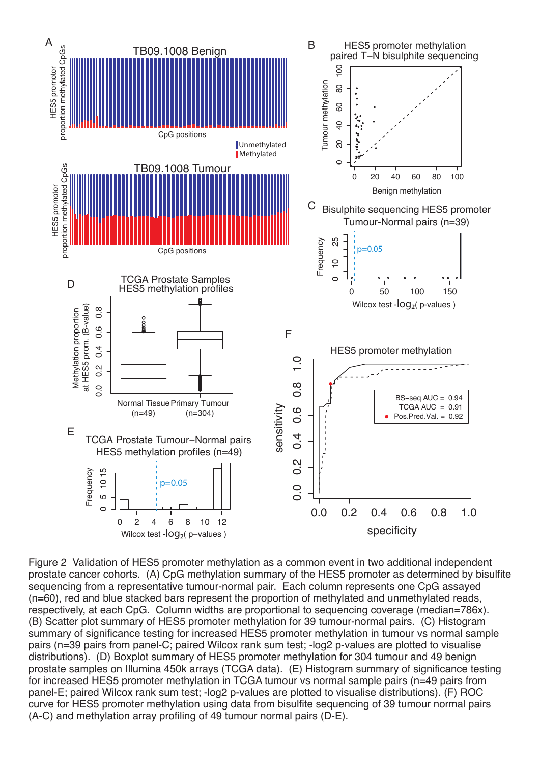

Figure 2 Validation of HES5 promoter methylation as a common event in two additional independent prostate cancer cohorts. (A) CpG methylation summary of the HES5 promoter as determined by bisulfite sequencing from a representative tumour-normal pair. Each column represents one CpG assayed (n=60), red and blue stacked bars represent the proportion of methylated and unmethylated reads, respectively, at each CpG. Column widths are proportional to sequencing coverage (median=786x). (B) Scatter plot summary of HES5 promoter methylation for 39 tumour-normal pairs. (C) Histogram summary of significance testing for increased HES5 promoter methylation in tumour vs normal sample pairs (n=39 pairs from panel-C; paired Wilcox rank sum test; -log2 p-values are plotted to visualise distributions). (D) Boxplot summary of HES5 promoter methylation for 304 tumour and 49 benign prostate samples on Illumina 450k arrays (TCGA data). (E) Histogram summary of significance testing for increased HES5 promoter methylation in TCGA tumour vs normal sample pairs (n=49 pairs from panel-E; paired Wilcox rank sum test; -log2 p-values are plotted to visualise distributions). (F) ROC curve for HES5 promoter methylation using data from bisulfite sequencing of 39 tumour normal pairs (A-C) and methylation array profiling of 49 tumour normal pairs (D-E).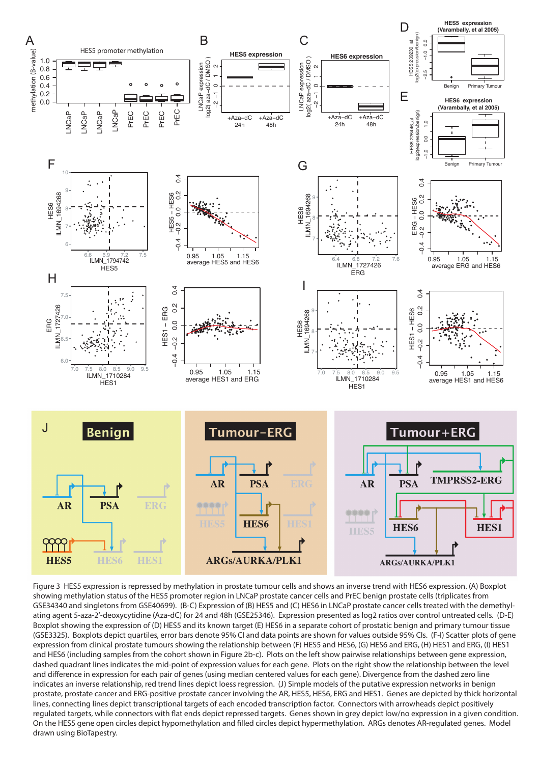

Figure 3 HES5 expression is repressed by methylation in prostate tumour cells and shows an inverse trend with HES6 expression. (A) Boxplot showing methylation status of the HES5 promoter region in LNCaP prostate cancer cells and PrEC benign prostate cells (triplicates from GSE34340 and singletons from GSE40699). (B-C) Expression of (B) HES5 and (C) HES6 in LNCaP prostate cancer cells treated with the demethylating agent 5-aza-2'-deoxycytidine (Aza-dC) for 24 and 48h (GSE25346). Expression presented as log2 ratios over control untreated cells. (D-E) Boxplot showing the expression of (D) HES5 and its known target (E) HES6 in a separate cohort of prostatic benign and primary tumour tissue (GSE3325). Boxplots depict quartiles, error bars denote 95% CI and data points are shown for values outside 95% CIs. (F-I) Scatter plots of gene expression from clinical prostate tumours showing the relationship between (F) HES5 and HES6, (G) HES6 and ERG, (H) HES1 and ERG, (I) HES1 and HES6 (including samples from the cohort shown in Figure 2b-c). Plots on the left show pairwise relationships between gene expression, dashed quadrant lines indicates the mid-point of expression values for each gene. Plots on the right show the relationship between the level and difference in expression for each pair of genes (using median centered values for each gene). Divergence from the dashed zero line indicates an inverse relationship, red trend lines depict loess regression. (J) Simple models of the putative expression networks in benign prostate, prostate cancer and ERG-positive prostate cancer involving the AR, HES5, HES6, ERG and HES1. Genes are depicted by thick horizontal lines, connecting lines depict transcriptional targets of each encoded transcription factor. Connectors with arrowheads depict positively regulated targets, while connectors with flat ends depict repressed targets. Genes shown in grey depict low/no expression in a given condition. On the HES5 gene open circles depict hypomethylation and #lled circles depict hypermethylation. ARGs denotes AR-regulated genes. Model drawn using BioTapestry.